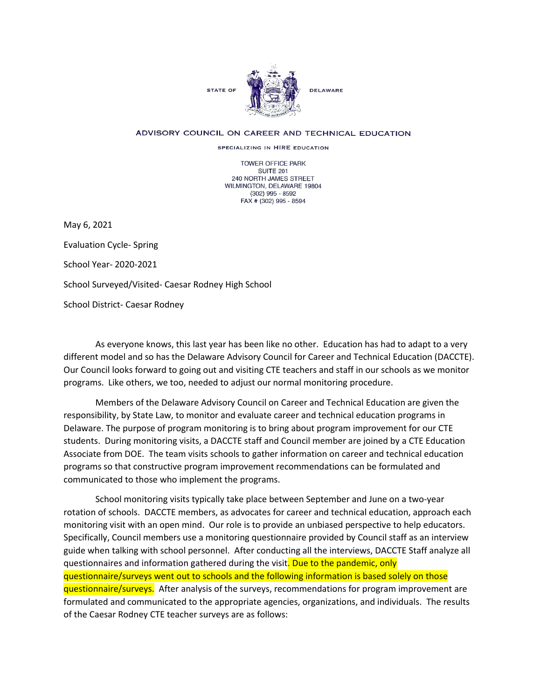

## ADVISORY COUNCIL ON CAREER AND TECHNICAL EDUCATION

SPECIALIZING IN HIRE EDUCATION

TOWER OFFICE PARK SUITE 201 240 NORTH JAMES STREET WILMINGTON, DELAWARE 19804 (302) 995 - 8592 FAX # (302) 995 - 8594

May 6, 2021

Evaluation Cycle- Spring School Year- 2020-2021 School Surveyed/Visited- Caesar Rodney High School School District- Caesar Rodney

As everyone knows, this last year has been like no other. Education has had to adapt to a very different model and so has the Delaware Advisory Council for Career and Technical Education (DACCTE). Our Council looks forward to going out and visiting CTE teachers and staff in our schools as we monitor programs. Like others, we too, needed to adjust our normal monitoring procedure.

Members of the Delaware Advisory Council on Career and Technical Education are given the responsibility, by State Law, to monitor and evaluate career and technical education programs in Delaware. The purpose of program monitoring is to bring about program improvement for our CTE students. During monitoring visits, a DACCTE staff and Council member are joined by a CTE Education Associate from DOE. The team visits schools to gather information on career and technical education programs so that constructive program improvement recommendations can be formulated and communicated to those who implement the programs.

School monitoring visits typically take place between September and June on a two-year rotation of schools. DACCTE members, as advocates for career and technical education, approach each monitoring visit with an open mind. Our role is to provide an unbiased perspective to help educators. Specifically, Council members use a monitoring questionnaire provided by Council staff as an interview guide when talking with school personnel. After conducting all the interviews, DACCTE Staff analyze all questionnaires and information gathered during the visit. Due to the pandemic, only questionnaire/surveys went out to schools and the following information is based solely on those questionnaire/surveys. After analysis of the surveys, recommendations for program improvement are formulated and communicated to the appropriate agencies, organizations, and individuals. The results of the Caesar Rodney CTE teacher surveys are as follows: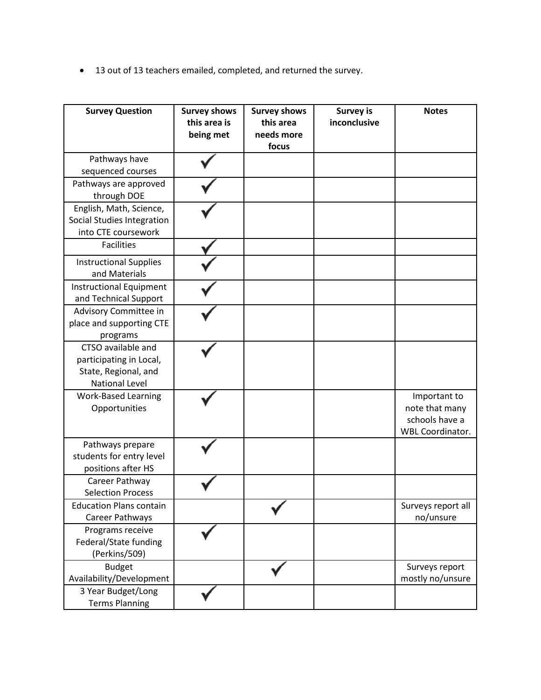• 13 out of 13 teachers emailed, completed, and returned the survey.

| <b>Survey Question</b>                                                                         | <b>Survey shows</b><br>this area is<br>being met | <b>Survey shows</b><br>this area<br>needs more<br>focus | <b>Survey is</b><br>inconclusive | <b>Notes</b>                                                                |
|------------------------------------------------------------------------------------------------|--------------------------------------------------|---------------------------------------------------------|----------------------------------|-----------------------------------------------------------------------------|
| Pathways have<br>sequenced courses                                                             |                                                  |                                                         |                                  |                                                                             |
| Pathways are approved<br>through DOE                                                           |                                                  |                                                         |                                  |                                                                             |
| English, Math, Science,<br>Social Studies Integration<br>into CTE coursework                   |                                                  |                                                         |                                  |                                                                             |
| <b>Facilities</b>                                                                              |                                                  |                                                         |                                  |                                                                             |
| <b>Instructional Supplies</b><br>and Materials                                                 |                                                  |                                                         |                                  |                                                                             |
| <b>Instructional Equipment</b><br>and Technical Support                                        |                                                  |                                                         |                                  |                                                                             |
| Advisory Committee in<br>place and supporting CTE<br>programs                                  |                                                  |                                                         |                                  |                                                                             |
| CTSO available and<br>participating in Local,<br>State, Regional, and<br><b>National Level</b> |                                                  |                                                         |                                  |                                                                             |
| <b>Work-Based Learning</b><br>Opportunities                                                    |                                                  |                                                         |                                  | Important to<br>note that many<br>schools have a<br><b>WBL Coordinator.</b> |
| Pathways prepare<br>students for entry level<br>positions after HS                             |                                                  |                                                         |                                  |                                                                             |
| Career Pathway<br><b>Selection Process</b>                                                     |                                                  |                                                         |                                  |                                                                             |
| <b>Education Plans contain</b><br>Career Pathways                                              |                                                  |                                                         |                                  | Surveys report all<br>no/unsure                                             |
| Programs receive<br>Federal/State funding<br>(Perkins/509)                                     |                                                  |                                                         |                                  |                                                                             |
| <b>Budget</b><br>Availability/Development                                                      |                                                  |                                                         |                                  | Surveys report<br>mostly no/unsure                                          |
| 3 Year Budget/Long<br><b>Terms Planning</b>                                                    |                                                  |                                                         |                                  |                                                                             |